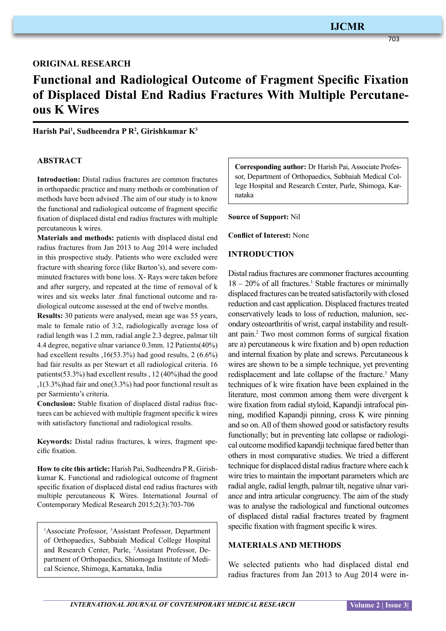703

# **original research**

# **Functional and Radiological Outcome of Fragment Specific Fixation of Displaced Distal End Radius Fractures With Multiple Percutaneous K Wires**

**Harish Pai1 , Sudheendra P R2 , Girishkumar K3**

# **ABSTRACT**

**Introduction:** Distal radius fractures are common fractures in orthopaedic practice and many methods or combination of methods have been advised .The aim of our study is to know the functional and radiological outcome of fragment specific fixation of displaced distal end radius fractures with multiple percutaneous k wires.

**Materials and methods:** patients with displaced distal end radius fractures from Jan 2013 to Aug 2014 were included in this prospective study. Patients who were excluded were fracture with shearing force (like Barton's), and severe comminuted fractures with bone loss. X- Rays were taken before and after surgery, and repeated at the time of removal of k wires and six weeks later .final functional outcome and radiological outcome assessed at the end of twelve months.

**Results:** 30 patients were analysed, mean age was 55 years, male to female ratio of 3:2, radiologically average loss of radial length was 1.2 mm, radial angle 2.3 degree, palmar tilt 4.4 degree, negative ulnar variance 0.3mm. 12 Patients(40%) had excellent results , 16(53.3%) had good results, 2 (6.6%) had fair results as per Stewart et all radiological criteria. 16 patients(53.3%) had excellent results , 12 (40%)had the good ,1(3.3%)had fair and one(3.3%) had poor functional result as per Sarmiento's criteria.

**Conclusion:** Stable fixation of displaced distal radius fractures can be achieved with multiple fragment specific k wires with satisfactory functional and radiological results.

**Keywords:** Distal radius fractures, k wires, fragment specific fixation.

**How to cite this article:** Harish Pai, Sudheendra P R, Girishkumar K. Functional and radiological outcome of fragment specific fixation of displaced distal end radius fractures with multiple percutaneous K Wires. International Journal of Contemporary Medical Research 2015;2(3):703-706

<sup>1</sup>Associate Professor, <sup>3</sup>Assistant Professor, Department of Orthopaedics, Subbaiah Medical College Hospital and Research Center, Purle, 2 Assistant Professor, Department of Orthopaedics, Shiomoga Institute of Medical Science, Shimoga, Karnataka, India

**Corresponding author:** Dr Harish Pai, Associate Professor, Department of Orthopaedics, Subbaiah Medical College Hospital and Research Center, Purle, Shimoga, Karnataka

**Source of Support:** Nil

**Conflict of Interest:** None

# **Introduction**

Distal radius fractures are commoner fractures accounting  $18 - 20\%$  of all fractures.<sup>1</sup> Stable fractures or minimally displaced fractures can be treated satisfactorily with closed reduction and cast application. Displaced fractures treated conservatively leads to loss of reduction, malunion, secondary osteoarthritis of wrist, carpal instability and resultant pain.2 Two most common forms of surgical fixation are a) percutaneous k wire fixation and b) open reduction and internal fixation by plate and screws. Percutaneous k wires are shown to be a simple technique, yet preventing redisplacement and late collapse of the fracture.<sup>3</sup> Many techniques of k wire fixation have been explained in the literature, most common among them were divergent k wire fixation from radial styloid, Kapandji intrafocal pinning, modified Kapandji pinning, cross K wire pinning and so on. All of them showed good or satisfactory results functionally; but in preventing late collapse or radiological outcome modified kapandji technique fared better than others in most comparative studies. We tried a different technique for displaced distal radius fracture where each k wire tries to maintain the important parameters which are radial angle, radial length, palmar tilt, negative ulnar variance and intra articular congruency. The aim of the study was to analyse the radiological and functional outcomes of displaced distal radial fractures treated by fragment specific fixation with fragment specific k wires.

# **Materials and methods**

We selected patients who had displaced distal end radius fractures from Jan 2013 to Aug 2014 were in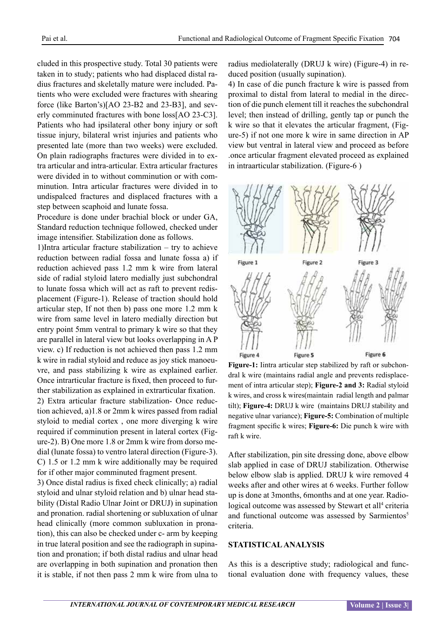cluded in this prospective study. Total 30 patients were taken in to study; patients who had displaced distal radius fractures and skeletally mature were included. Patients who were excluded were fractures with shearing force (like Barton's)[AO 23-B2 and 23-B3], and severly comminuted fractures with bone loss[AO 23-C3]. Patients who had ipsilateral other bony injury or soft tissue injury, bilateral wrist injuries and patients who presented late (more than two weeks) were excluded. On plain radiographs fractures were divided in to extra articular and intra-articular. Extra articular fractures were divided in to without comminution or with comminution. Intra articular fractures were divided in to undispalced fractures and displaced fractures with a step between scaphoid and lunate fossa.

Procedure is done under brachial block or under GA, Standard reduction technique followed, checked under image intensifier. Stabilization done as follows.

1)Intra articular fracture stabilization – try to achieve reduction between radial fossa and lunate fossa a) if reduction achieved pass 1.2 mm k wire from lateral side of radial styloid latero medially just subchondral to lunate fossa which will act as raft to prevent redisplacement (Figure-1). Release of traction should hold articular step, If not then b) pass one more 1.2 mm k wire from same level in latero medially direction but entry point 5mm ventral to primary k wire so that they are parallel in lateral view but looks overlapping in A P view. c) If reduction is not achieved then pass 1.2 mm k wire in radial styloid and reduce as joy stick manoeuvre, and pass stabilizing k wire as explained earlier. Once intrarticular fracture is fixed, then proceed to further stabilization as explained in extrarticular fixation. 2) Extra articular fracture stabilization- Once reduction achieved, a)1.8 or 2mm k wires passed from radial styloid to medial cortex , one more diverging k wire required if comminution present in lateral cortex (Figure-2). B) One more 1.8 or 2mm k wire from dorso medial (lunate fossa) to ventro lateral direction (Figure-3). C) 1.5 or 1.2 mm k wire additionally may be required for if other major comminuted fragment present.

3) Once distal radius is fixed check clinically; a) radial styloid and ulnar styloid relation and b) ulnar head stability (Distal Radio Ulnar Joint or DRUJ) in supination and pronation. radial shortening or subluxation of ulnar head clinically (more common subluxation in pronation), this can also be checked under c- arm by keeping in true lateral position and see the radiograph in supination and pronation; if both distal radius and ulnar head are overlapping in both supination and pronation then it is stable, if not then pass 2 mm k wire from ulna to radius mediolaterally (DRUJ k wire) (Figure-4) in reduced position (usually supination).

4) In case of die punch fracture k wire is passed from proximal to distal from lateral to medial in the direction of die punch element till it reaches the subchondral level; then instead of drilling, gently tap or punch the k wire so that it elevates the articular fragment, (Figure-5) if not one more k wire in same direction in AP view but ventral in lateral view and proceed as before .once articular fragment elevated proceed as explained in intraarticular stabilization. (Figure-6 )



**Figure-1:** Iintra articular step stabilized by raft or subchondral k wire (maintains radial angle and prevents redisplacement of intra articular step); **Figure-2 and 3:** Radial styloid k wires, and cross k wires(maintain radial length and palmar tilt); **Figure-4:** DRUJ k wire (maintains DRUJ stability and negative ulnar variance); **Figure-5:** Combination of multiple fragment specific k wires; **Figure-6:** Die punch k wire with raft k wire.

After stabilization, pin site dressing done, above elbow slab applied in case of DRUJ stabilization. Otherwise below elbow slab is applied. DRUJ k wire removed 4 weeks after and other wires at 6 weeks. Further follow up is done at 3months, 6months and at one year. Radiological outcome was assessed by Stewart et all<sup>4</sup> criteria and functional outcome was assessed by Sarmientos<sup>5</sup> criteria.

# **Statistical analysis**

As this is a descriptive study; radiological and functional evaluation done with frequency values, these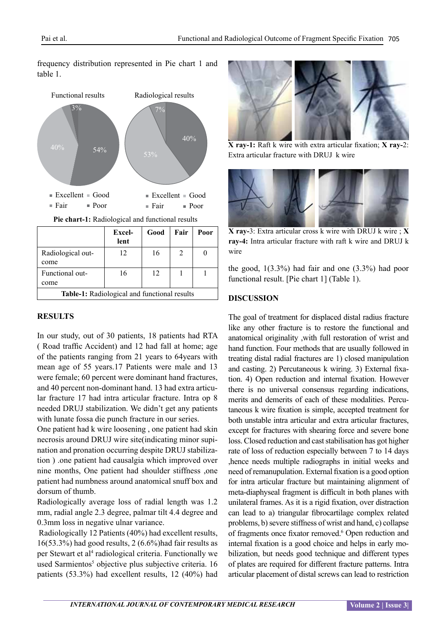frequency distribution represented in Pie chart 1 and table 1.



**Table-1:** Radiological and functional results

#### **Results**

come

In our study, out of 30 patients, 18 patients had RTA ( Road traffic Accident) and 12 had fall at home; age of the patients ranging from 21 years to 64years with mean age of 55 years.17 Patients were male and 13 were female; 60 percent were dominant hand fractures, and 40 percent non-dominant hand. 13 had extra articular fracture 17 had intra articular fracture. Intra op 8 needed DRUJ stabilization. We didn't get any patients with lunate fossa die punch fracture in our series.

One patient had k wire loosening , one patient had skin necrosis around DRUJ wire site(indicating minor supination and pronation occurring despite DRUJ stabilization ) .one patient had causalgia which improved over nine months, One patient had shoulder stiffness ,one patient had numbness around anatomical snuff box and dorsum of thumb.

Radiologically average loss of radial length was 1.2 mm, radial angle 2.3 degree, palmar tilt 4.4 degree and 0.3mm loss in negative ulnar variance.

 Radiologically 12 Patients (40%) had excellent results, 16(53.3%) had good results, 2 (6.6%)had fair results as per Stewart et al<sup>4</sup> radiological criteria. Functionally we used Sarmientos<sup>5</sup> objective plus subjective criteria. 16 patients (53.3%) had excellent results, 12 (40%) had



**X ray-1:** Raft k wire with extra articular fixation; **X ray-**2: Extra articular fracture with DRUJ k wire



**X ray-**3: Extra articular cross k wire with DRUJ k wire ; **X ray-4:** Intra articular fracture with raft k wire and DRUJ k wire

the good, 1(3.3%) had fair and one (3.3%) had poor functional result. [Pie chart 1] (Table 1).

# **Discussion**

The goal of treatment for displaced distal radius fracture like any other fracture is to restore the functional and anatomical originality ,with full restoration of wrist and hand function. Four methods that are usually followed in treating distal radial fractures are 1) closed manipulation and casting. 2) Percutaneous k wiring. 3) External fixation. 4) Open reduction and internal fixation. However there is no universal consensus regarding indications, merits and demerits of each of these modalities. Percutaneous k wire fixation is simple, accepted treatment for both unstable intra articular and extra articular fractures, except for fractures with shearing force and severe bone loss. Closed reduction and cast stabilisation has got higher rate of loss of reduction especially between 7 to 14 days ,hence needs multiple radiographs in initial weeks and need of remanupulation. External fixation is a good option for intra articular fracture but maintaining alignment of meta-diaphyseal fragment is difficult in both planes with unilateral frames. As it is a rigid fixation, over distraction can lead to a) triangular fibrocartilage complex related problems, b) severe stiffness of wrist and hand, c) collapse of fragments once fixator removed.<sup>6</sup> Open reduction and internal fixation is a good choice and helps in early mobilization, but needs good technique and different types of plates are required for different fracture patterns. Intra articular placement of distal screws can lead to restriction